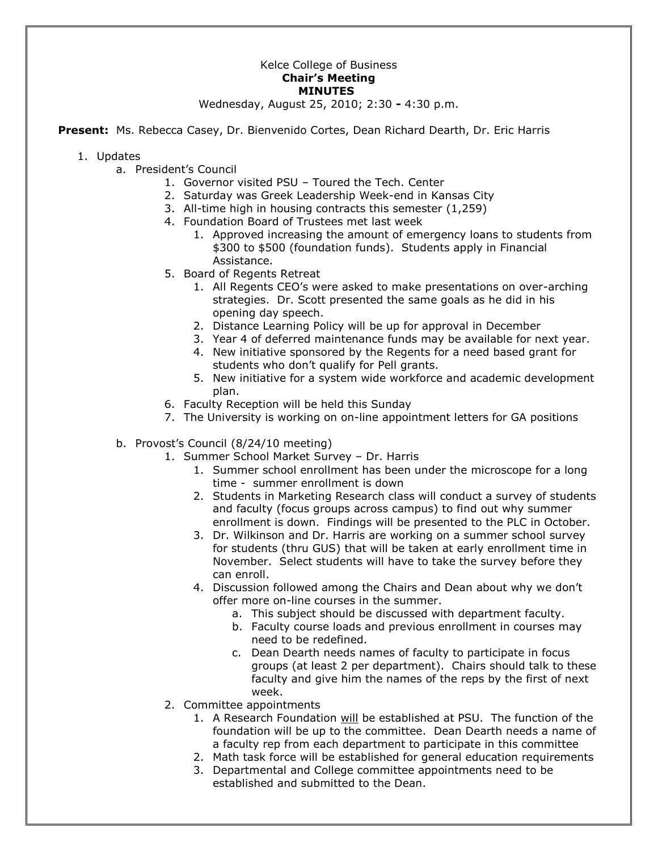## Kelce College of Business **Chair's Meeting MINUTES**

Wednesday, August 25, 2010; 2:30 **-** 4:30 p.m.

**Present:** Ms. Rebecca Casey, Dr. Bienvenido Cortes, Dean Richard Dearth, Dr. Eric Harris

- 1. Updates
	- a. President's Council
		- 1. Governor visited PSU Toured the Tech. Center
		- 2. Saturday was Greek Leadership Week-end in Kansas City
		- 3. All-time high in housing contracts this semester (1,259)
		- 4. Foundation Board of Trustees met last week
			- 1. Approved increasing the amount of emergency loans to students from \$300 to \$500 (foundation funds). Students apply in Financial Assistance.
		- 5. Board of Regents Retreat
			- 1. All Regents CEO's were asked to make presentations on over-arching strategies. Dr. Scott presented the same goals as he did in his opening day speech.
			- 2. Distance Learning Policy will be up for approval in December
			- 3. Year 4 of deferred maintenance funds may be available for next year.
			- 4. New initiative sponsored by the Regents for a need based grant for students who don't qualify for Pell grants.
			- 5. New initiative for a system wide workforce and academic development plan.
		- 6. Faculty Reception will be held this Sunday
		- 7. The University is working on on-line appointment letters for GA positions
	- b. Provost's Council (8/24/10 meeting)
		- 1. Summer School Market Survey Dr. Harris
			- 1. Summer school enrollment has been under the microscope for a long time - summer enrollment is down
			- 2. Students in Marketing Research class will conduct a survey of students and faculty (focus groups across campus) to find out why summer enrollment is down. Findings will be presented to the PLC in October.
			- 3. Dr. Wilkinson and Dr. Harris are working on a summer school survey for students (thru GUS) that will be taken at early enrollment time in November. Select students will have to take the survey before they can enroll.
			- 4. Discussion followed among the Chairs and Dean about why we don't offer more on-line courses in the summer.
				- a. This subject should be discussed with department faculty.
				- b. Faculty course loads and previous enrollment in courses may need to be redefined.
				- c. Dean Dearth needs names of faculty to participate in focus groups (at least 2 per department). Chairs should talk to these faculty and give him the names of the reps by the first of next week.
		- 2. Committee appointments
			- 1. A Research Foundation will be established at PSU. The function of the foundation will be up to the committee. Dean Dearth needs a name of a faculty rep from each department to participate in this committee
			- 2. Math task force will be established for general education requirements
			- 3. Departmental and College committee appointments need to be established and submitted to the Dean.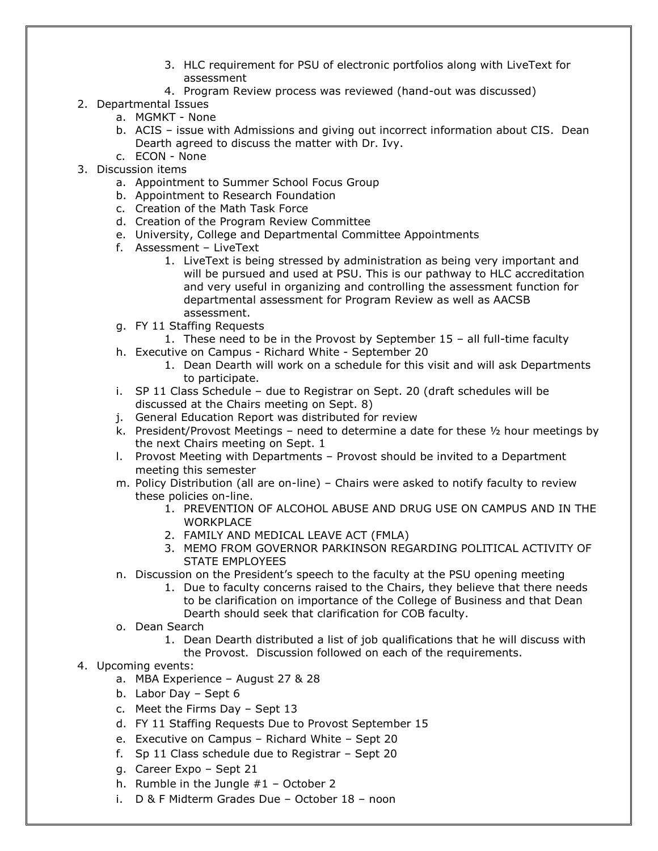- 3. HLC requirement for PSU of electronic portfolios along with LiveText for assessment
- 4. Program Review process was reviewed (hand-out was discussed)
- 2. Departmental Issues
	- a. MGMKT None
	- b. ACIS issue with Admissions and giving out incorrect information about CIS. Dean Dearth agreed to discuss the matter with Dr. Ivy.
	- c. ECON None
- 3. Discussion items
	- a. Appointment to Summer School Focus Group
	- b. Appointment to Research Foundation
	- c. Creation of the Math Task Force
	- d. Creation of the Program Review Committee
	- e. University, College and Departmental Committee Appointments
	- f. Assessment LiveText
		- 1. LiveText is being stressed by administration as being very important and will be pursued and used at PSU. This is our pathway to HLC accreditation and very useful in organizing and controlling the assessment function for departmental assessment for Program Review as well as AACSB assessment.
	- g. FY 11 Staffing Requests
		- 1. These need to be in the Provost by September 15 all full-time faculty
	- h. Executive on Campus Richard White September 20
		- 1. Dean Dearth will work on a schedule for this visit and will ask Departments to participate.
	- i. SP 11 Class Schedule due to Registrar on Sept. 20 (draft schedules will be discussed at the Chairs meeting on Sept. 8)
	- j. General Education Report was distributed for review
	- k. President/Provost Meetings need to determine a date for these ½ hour meetings by the next Chairs meeting on Sept. 1
	- l. Provost Meeting with Departments Provost should be invited to a Department meeting this semester
	- m. Policy Distribution (all are on-line) Chairs were asked to notify faculty to review these policies on-line.
		- 1. PREVENTION OF ALCOHOL ABUSE AND DRUG USE ON CAMPUS AND IN THE **WORKPLACE**
		- 2. FAMILY AND MEDICAL LEAVE ACT (FMLA)
		- 3. MEMO FROM GOVERNOR PARKINSON REGARDING POLITICAL ACTIVITY OF STATE EMPLOYEES
	- n. Discussion on the President's speech to the faculty at the PSU opening meeting
		- 1. Due to faculty concerns raised to the Chairs, they believe that there needs to be clarification on importance of the College of Business and that Dean Dearth should seek that clarification for COB faculty.
	- o. Dean Search
		- 1. Dean Dearth distributed a list of job qualifications that he will discuss with
		- the Provost. Discussion followed on each of the requirements.
- 4. Upcoming events:
	- a. MBA Experience August 27 & 28
	- b. Labor Day Sept 6
	- c. Meet the Firms Day Sept 13
	- d. FY 11 Staffing Requests Due to Provost September 15
	- e. Executive on Campus Richard White Sept 20
	- f. Sp 11 Class schedule due to Registrar Sept 20
	- g. Career Expo Sept 21
	- h. Rumble in the Jungle  $#1 -$  October 2
	- i. D & F Midterm Grades Due October 18 noon